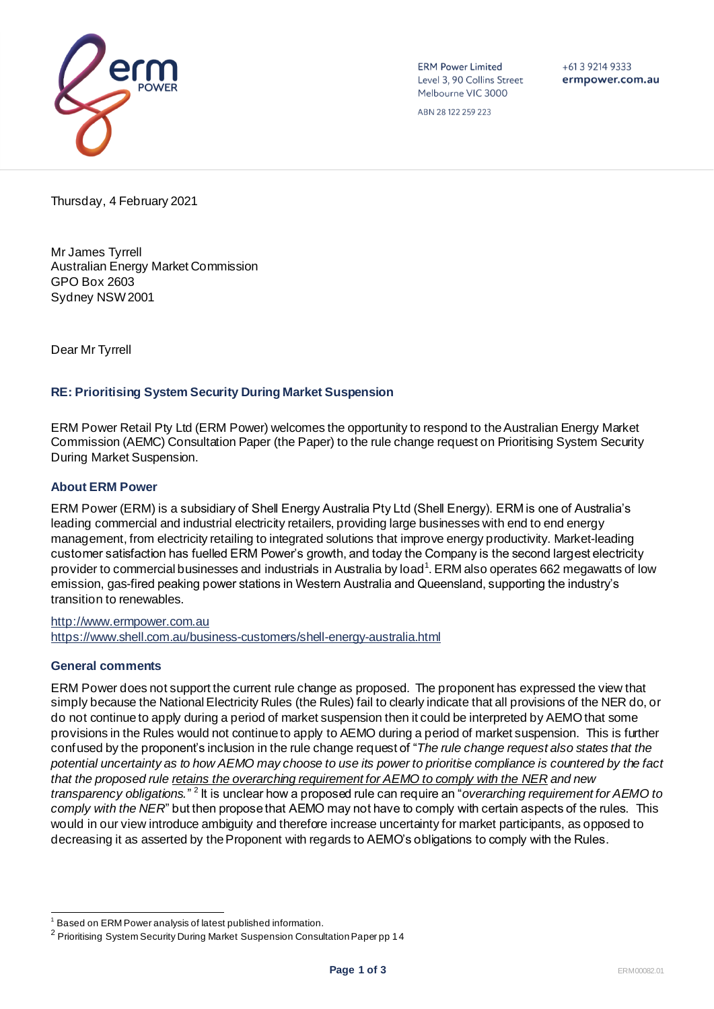

**ERM Power Limited** Level 3, 90 Collins Street Melbourne VIC 3000

 $+61$  3 9214 9333 ermpower.com.au

ABN 28 122 259 223

Thursday, 4 February 2021

Mr James Tyrrell Australian Energy Market Commission GPO Box 2603 Sydney NSW 2001

Dear Mr Tyrrell

# **RE: Prioritising System Security During Market Suspension**

ERM Power Retail Pty Ltd (ERM Power) welcomes the opportunity to respond to the Australian Energy Market Commission (AEMC) Consultation Paper (the Paper) to the rule change request on Prioritising System Security During Market Suspension.

# **About ERM Power**

ERM Power (ERM) is a subsidiary of Shell Energy Australia Pty Ltd (Shell Energy). ERM is one of Australia's leading commercial and industrial electricity retailers, providing large businesses with end to end energy management, from electricity retailing to integrated solutions that improve energy productivity. Market-leading customer satisfaction has fuelled ERM Power's growth, and today the Company is the second largest electricity provider to commercial businesses and industrials in Australia by load<sup>1</sup>. ERM also operates 662 megawatts of low emission, gas-fired peaking power stations in Western Australia and Queensland, supporting the industry's transition to renewables.

[http://www.ermpower.com.au](http://www.ermpower.com.au/) <https://www.shell.com.au/business-customers/shell-energy-australia.html>

## **General comments**

ERM Power does not support the current rule change as proposed. The proponent has expressed the view that simply because the National Electricity Rules (the Rules) fail to clearly indicate that all provisions of the NER do, or do not continue to apply during a period of market suspension then it could be interpreted by AEMO that some provisions in the Rules would not continue to apply to AEMO during a period of market suspension. This is further confused by the proponent's inclusion in the rule change request of "*The rule change request also states that the potential uncertainty as to how AEMO may choose to use its power to prioritise compliance is countered by the fact that the proposed rule retains the overarching requirement for AEMO to comply with the NER and new*  transparency obligations."<sup>2</sup> It is unclear how a proposed rule can require an "overarching requirement for AEMO to *comply with the NER*" but then propose that AEMO may not have to comply with certain aspects of the rules. This would in our view introduce ambiguity and therefore increase uncertainty for market participants, as opposed to decreasing it as asserted by the Proponent with regards to AEMO's obligations to comply with the Rules.

<sup>&</sup>lt;sup>1</sup> Based on ERM Power analysis of latest published information.

 $^{\text{2}}$  Prioritising System Security During Market Suspension Consultation Paper pp 14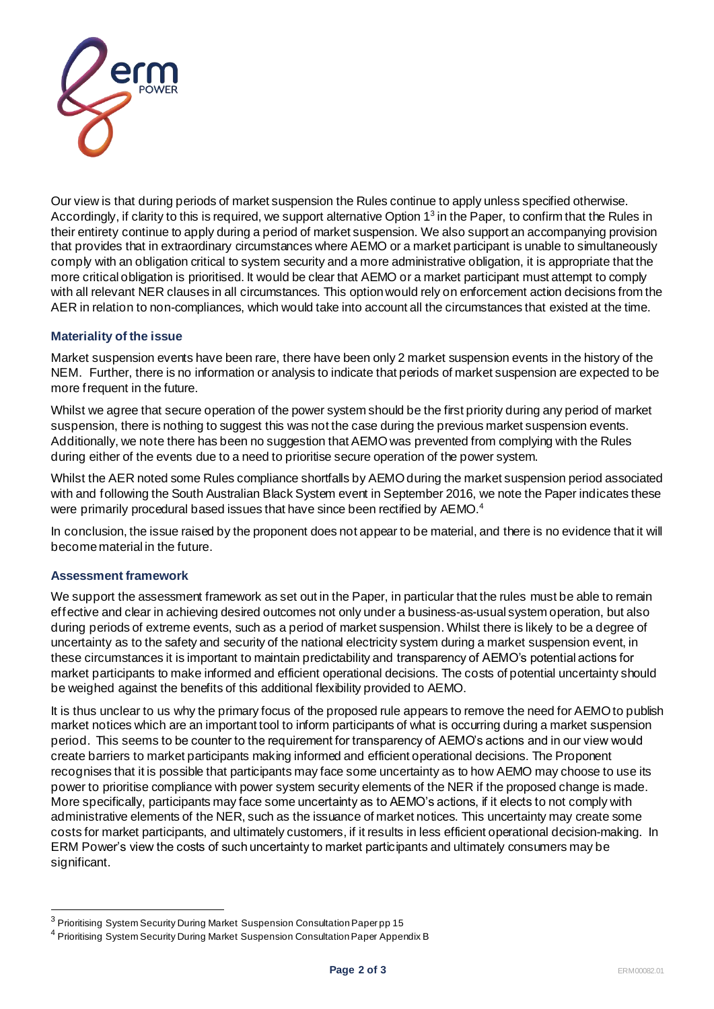

Our view is that during periods of market suspension the Rules continue to apply unless specified otherwise. Accordingly, if clarity to this is required, we support alternative Option 1<sup>3</sup> in the Paper, to confirm that the Rules in their entirety continue to apply during a period of market suspension. We also support an accompanying provision that provides that in extraordinary circumstances where AEMO or a market participant is unable to simultaneously comply with an obligation critical to system security and a more administrative obligation, it is appropriate that the more critical obligation is prioritised. It would be clear that AEMO or a market participant must attempt to comply with all relevant NER clauses in all circumstances. This option would rely on enforcement action decisions from the AER in relation to non-compliances, which would take into account all the circumstances that existed at the time.

## **Materiality of the issue**

Market suspension events have been rare, there have been only 2 market suspension events in the history of the NEM. Further, there is no information or analysis to indicate that periods of market suspension are expected to be more frequent in the future.

Whilst we agree that secure operation of the power system should be the first priority during any period of market suspension, there is nothing to suggest this was not the case during the previous market suspension events. Additionally, we note there has been no suggestion that AEMO was prevented from complying with the Rules during either of the events due to a need to prioritise secure operation of the power system.

Whilst the AER noted some Rules compliance shortfalls by AEMO during the market suspension period associated with and following the South Australian Black System event in September 2016, we note the Paper indicates these were primarily procedural based issues that have since been rectified by AEMO.<sup>4</sup>

In conclusion, the issue raised by the proponent does not appear to be material, and there is no evidence that it will become material in the future.

## **Assessment framework**

We support the assessment framework as set out in the Paper, in particular that the rules must be able to remain effective and clear in achieving desired outcomes not only under a business-as-usual system operation, but also during periods of extreme events, such as a period of market suspension. Whilst there is likely to be a degree of uncertainty as to the safety and security of the national electricity system during a market suspension event, in these circumstances it is important to maintain predictability and transparency of AEMO's potential actions for market participants to make informed and efficient operational decisions. The costs of potential uncertainty should be weighed against the benefits of this additional flexibility provided to AEMO.

It is thus unclear to us why the primary focus of the proposed rule appears to remove the need for AEMO to publish market notices which are an important tool to inform participants of what is occurring during a market suspension period. This seems to be counter to the requirement for transparency of AEMO's actions and in our view would create barriers to market participants making informed and efficient operational decisions. The Proponent recognises that it is possible that participants may face some uncertainty as to how AEMO may choose to use its power to prioritise compliance with power system security elements of the NER if the proposed change is made. More specifically, participants may face some uncertainty as to AEMO's actions, if it elects to not comply with administrative elements of the NER, such as the issuance of market notices. This uncertainty may create some costs for market participants, and ultimately customers, if it results in less efficient operational decision-making. In ERM Power's view the costs of such uncertainty to market participants and ultimately consumers may be significant.

<sup>&</sup>lt;sup>3</sup> Prioritising System Security During Market Suspension Consultation Paper pp 15

<sup>&</sup>lt;sup>4</sup> Prioritising System Security During Market Suspension Consultation Paper Appendix B